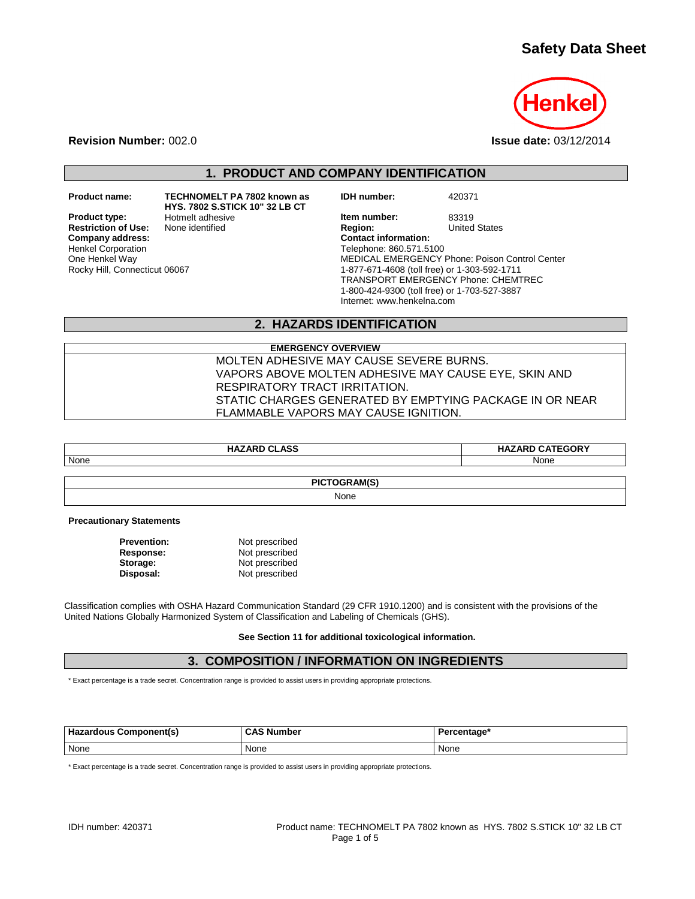# **Safety Data Sheet**



**Revision Number:** 002.0 **Issue date:** 03/12/2014

**1. PRODUCT AND COMPANY IDENTIFICATION**

**Restriction of Use:**<br>Company address: Henkel Corporation One Henkel Way Rocky Hill, Connecticut 06067

**Product name: TECHNOMELT PA 7802 known as HYS. 7802 S.STICK 10" 32 LB CT**

**IDH number:** 420371

**Product type:** Hotmelt adhesive **In the Markow Member and Hermitian Arists 1988**<br> **Restriction of Use:** None identified **In the Markow Region:** United States **Company address: Contact information:** Telephone: 860.571.5100 MEDICAL EMERGENCY Phone: Poison Control Center 1-877-671-4608 (toll free) or 1-303-592-1711 TRANSPORT EMERGENCY Phone: CHEMTREC 1-800-424-9300 (toll free) or 1-703-527-3887 Internet: www.henkelna.com

## **2. HAZARDS IDENTIFICATION**

**EMERGENCY OVERVIEW** MOLTEN ADHESIVE MAY CAUSE SEVERE BURNS. VAPORS ABOVE MOLTEN ADHESIVE MAY CAUSE EYE, SKIN AND RESPIRATORY TRACT IRRITATION. STATIC CHARGES GENERATED BY EMPTYING PACKAGE IN OR NEAR FLAMMABLE VAPORS MAY CAUSE IGNITION.

| <b>HAZARD CLASS</b> | <b>HAZARD CATEGORY</b> |
|---------------------|------------------------|
| None                | None                   |

**PICTOGRAM(S)**

None

**Precautionary Statements**

| <b>Prevention:</b> | Not prescribed |  |
|--------------------|----------------|--|
| Response:          | Not prescribed |  |
| Storage:           | Not prescribed |  |
| Disposal:          | Not prescribed |  |

Classification complies with OSHA Hazard Communication Standard (29 CFR 1910.1200) and is consistent with the provisions of the United Nations Globally Harmonized System of Classification and Labeling of Chemicals (GHS).

**See Section 11 for additional toxicological information.**

### **3. COMPOSITION / INFORMATION ON INGREDIENTS**

\* Exact percentage is a trade secret. Concentration range is provided to assist users in providing appropriate protections.

| Hazardous Component(s) | <b>CAS Number</b> | Percentage* |
|------------------------|-------------------|-------------|
| None                   | None              | None        |

\* Exact percentage is a trade secret. Concentration range is provided to assist users in providing appropriate protections.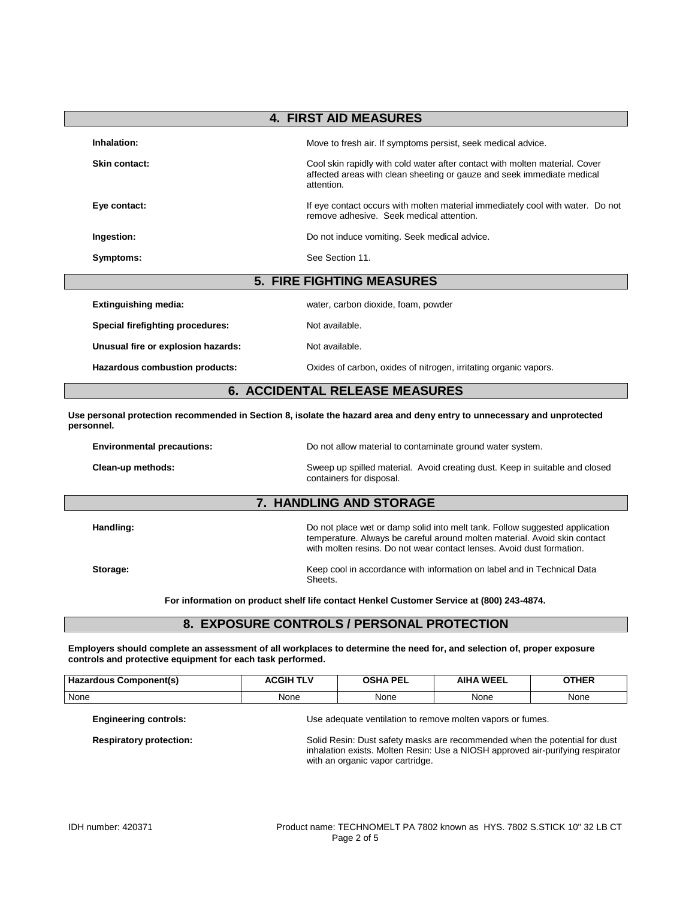| <b>4. FIRST AID MEASURES</b>             |                                                                                                                                                                     |  |  |
|------------------------------------------|---------------------------------------------------------------------------------------------------------------------------------------------------------------------|--|--|
| Inhalation:                              | Move to fresh air. If symptoms persist, seek medical advice.                                                                                                        |  |  |
| Skin contact:                            | Cool skin rapidly with cold water after contact with molten material. Cover<br>affected areas with clean sheeting or gauze and seek immediate medical<br>attention. |  |  |
| Eye contact:                             | If eye contact occurs with molten material immediately cool with water. Do not<br>remove adhesive. Seek medical attention.                                          |  |  |
| Ingestion:                               | Do not induce vomiting. Seek medical advice.                                                                                                                        |  |  |
| Symptoms:                                | See Section 11.                                                                                                                                                     |  |  |
|                                          | <b>5. FIRE FIGHTING MEASURES</b>                                                                                                                                    |  |  |
| <b>Extinguishing media:</b>              | water, carbon dioxide, foam, powder                                                                                                                                 |  |  |
| Special firefighting procedures:         | Not available.                                                                                                                                                      |  |  |
| Unusual fire or explosion hazards:       | Not available.                                                                                                                                                      |  |  |
| Hazardous combustion products:           | Oxides of carbon, oxides of nitrogen, irritating organic vapors.                                                                                                    |  |  |
| <b>ACCIDENTAL RELEASE MEASURES</b><br>6. |                                                                                                                                                                     |  |  |

**Use personal protection recommended in Section 8, isolate the hazard area and deny entry to unnecessary and unprotected personnel.**

| <b>Environmental precautions:</b>                                                                                            | Do not allow material to contaminate ground water system.                                                                                                                                                                         |  |
|------------------------------------------------------------------------------------------------------------------------------|-----------------------------------------------------------------------------------------------------------------------------------------------------------------------------------------------------------------------------------|--|
| Clean-up methods:<br>Sweep up spilled material. Avoid creating dust. Keep in suitable and closed<br>containers for disposal. |                                                                                                                                                                                                                                   |  |
|                                                                                                                              | 7. HANDLING AND STORAGE                                                                                                                                                                                                           |  |
| Handling:                                                                                                                    | Do not place wet or damp solid into melt tank. Follow suggested application<br>temperature. Always be careful around molten material. Avoid skin contact<br>with molten resins. Do not wear contact lenses. Avoid dust formation. |  |
| Storage:                                                                                                                     | Keep cool in accordance with information on label and in Technical Data<br>Sheets.                                                                                                                                                |  |

**For information on product shelf life contact Henkel Customer Service at (800) 243-4874.**

## **8. EXPOSURE CONTROLS / PERSONAL PROTECTION**

**Employers should complete an assessment of all workplaces to determine the need for, and selection of, proper exposure controls and protective equipment for each task performed.**

| Hazardous Component(s)         | <b>ACGIH TLV</b>                                                                                                                                                                                 | <b>OSHA PEL</b> | <b>AIHA WEEL</b> | <b>OTHER</b> |
|--------------------------------|--------------------------------------------------------------------------------------------------------------------------------------------------------------------------------------------------|-----------------|------------------|--------------|
| None                           | None                                                                                                                                                                                             | None            | None             | None         |
| <b>Engineering controls:</b>   | Use adequate ventilation to remove molten vapors or fumes.                                                                                                                                       |                 |                  |              |
| <b>Respiratory protection:</b> | Solid Resin: Dust safety masks are recommended when the potential for dust<br>inhalation exists. Molten Resin: Use a NIOSH approved air-purifying respirator<br>with an organic vapor cartridge. |                 |                  |              |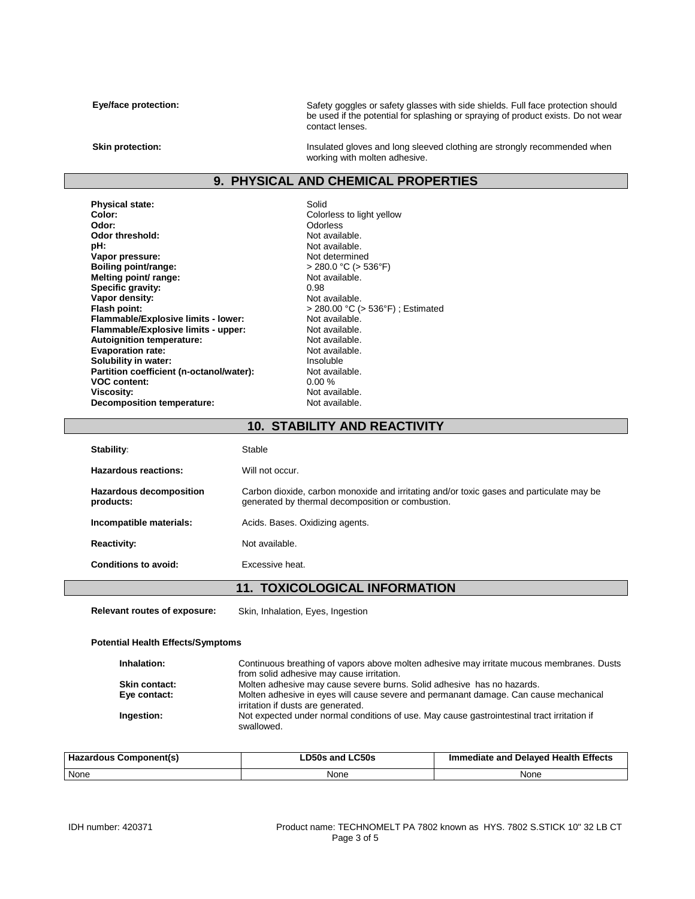Eye/face protection: Safety goggles or safety glasses with side shields. Full face protection should be used if the potential for splashing or spraying of product exists. Do not wear contact lenses.

**Skin protection:** This ulated gloves and long sleeved clothing are strongly recommended when working with molten adhesive.

#### **9. PHYSICAL AND CHEMICAL PROPERTIES**

**Physical state:** Solid Color: Solid Color: Solid Color: Solid Color: Solid Color **Color:** Colorless to light yellow<br> **Color:** Colorless to light yellow<br>
Odor: Odor: Odor threshold:<br>pH: **Vapor pressure:**<br> **Boiling point/range:**<br> **Boiling point/range:**<br>  $\begin{aligned} \text{Not determined} \\ &> 280.0 \text{ °C} &(> 536 \text{ °F}) \end{aligned}$ **Boiling point/range:**  $\rightarrow$  280.0 °C (><br>**Melting point/ range:** Not available. **Melting point/ range:** Not available. **Specific gravity:** 0.98 **Vapor density:**<br> **Vapor density:**<br> **Flash point:**<br>  $> 280.00 °C$  ( **Flammable/Explosive limits - lower:** Not available.<br> **Flammable/Explosive limits - upper:** Not available. **Flammable/Explosive limits - upper:** Not available.<br> **Autoignition temperature:** Not available. **Autoignition temperature:** Not available.<br> **Evaporation rate:** Not available. **Evaporation rate:** Not available.<br> **Solubility in water:** Not available. **Solubility in water: Insoluble 19 and 11 and 11 and 11 and 11 and 11 and 11 and 11 and 11 and 11 and 11 and 11 and 11 and 11 and 11 and 11 and 11 and 11 and 11 and 11 and 11 and 11 and 11 and 11 and 11 and 11 and 11 and Partition coefficient (n-octanol/water):** Not available VOC content: 0.00 % **VOC content:**<br>Viscosity: **Decomposition temperature:** 

Odorless<br>Not available. Not available.<br>Not determined **Flash point:** > 280.00 °C (> 536°F) ; Estimated Not available.<br>Not available.

#### **10. STABILITY AND REACTIVITY**

| <b>Stability:</b>                           | Stable                                                                                                                                        |
|---------------------------------------------|-----------------------------------------------------------------------------------------------------------------------------------------------|
| Hazardous reactions:                        | Will not occur.                                                                                                                               |
| <b>Hazardous decomposition</b><br>products: | Carbon dioxide, carbon monoxide and irritating and/or toxic gases and particulate may be<br>generated by thermal decomposition or combustion. |
| Incompatible materials:                     | Acids. Bases. Oxidizing agents.                                                                                                               |
| <b>Reactivity:</b>                          | Not available.                                                                                                                                |
| Conditions to avoid:                        | Excessive heat.                                                                                                                               |

### **11. TOXICOLOGICAL INFORMATION**

**Relevant routes of exposure:** Skin, Inhalation, Eyes, Ingestion

#### **Potential Health Effects/Symptoms**

| Inhalation:          | Continuous breathing of vapors above molten adhesive may irritate mucous membranes. Dusts<br>from solid adhesive may cause irritation. |
|----------------------|----------------------------------------------------------------------------------------------------------------------------------------|
| <b>Skin contact:</b> | Molten adhesive may cause severe burns. Solid adhesive has no hazards.                                                                 |
| Eye contact:         | Molten adhesive in eyes will cause severe and permanant damage. Can cause mechanical<br>irritation if dusts are generated.             |
| Ingestion:           | Not expected under normal conditions of use. May cause gastrointestinal tract irritation if<br>swallowed.                              |

| Hazardous Component(s) | <b>LD50s and LC50s</b> | Immediate and Delayed Health Effects |
|------------------------|------------------------|--------------------------------------|
| None                   | None                   | None                                 |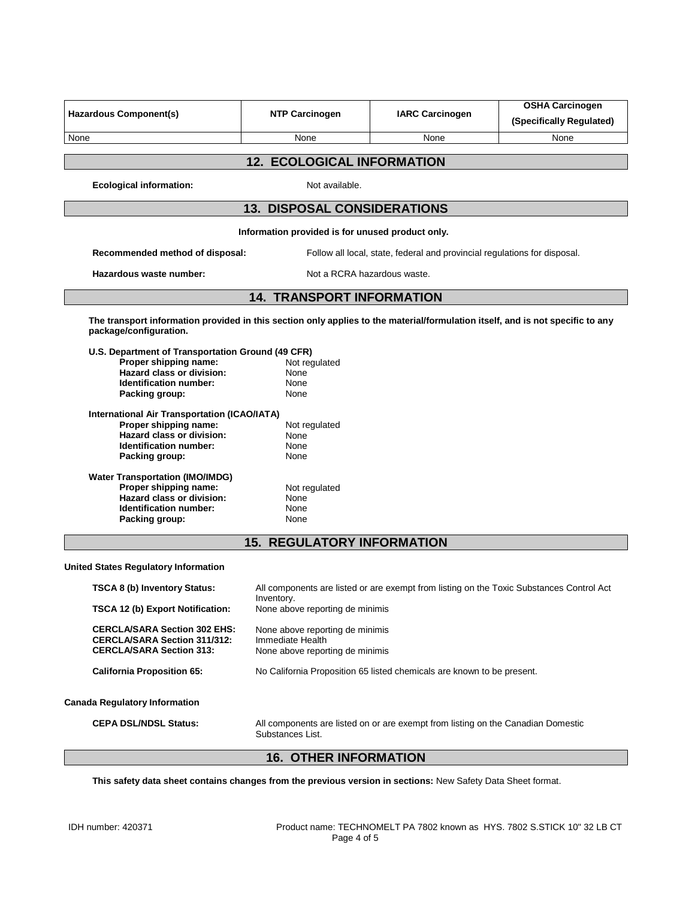| <b>Hazardous Component(s)</b>                                                                                                                                                                                                                                                                                                                                                                                                                                                 | <b>NTP Carcinogen</b>                                                                                                   | <b>IARC Carcinogen</b>                                                           | <b>OSHA Carcinogen</b><br>(Specifically Regulated)                                       |  |
|-------------------------------------------------------------------------------------------------------------------------------------------------------------------------------------------------------------------------------------------------------------------------------------------------------------------------------------------------------------------------------------------------------------------------------------------------------------------------------|-------------------------------------------------------------------------------------------------------------------------|----------------------------------------------------------------------------------|------------------------------------------------------------------------------------------|--|
| None                                                                                                                                                                                                                                                                                                                                                                                                                                                                          | None                                                                                                                    | None                                                                             | None                                                                                     |  |
|                                                                                                                                                                                                                                                                                                                                                                                                                                                                               | <b>12. ECOLOGICAL INFORMATION</b>                                                                                       |                                                                                  |                                                                                          |  |
| <b>Ecological information:</b>                                                                                                                                                                                                                                                                                                                                                                                                                                                | Not available.                                                                                                          |                                                                                  |                                                                                          |  |
|                                                                                                                                                                                                                                                                                                                                                                                                                                                                               | <b>13. DISPOSAL CONSIDERATIONS</b>                                                                                      |                                                                                  |                                                                                          |  |
|                                                                                                                                                                                                                                                                                                                                                                                                                                                                               | Information provided is for unused product only.                                                                        |                                                                                  |                                                                                          |  |
| Recommended method of disposal:                                                                                                                                                                                                                                                                                                                                                                                                                                               |                                                                                                                         | Follow all local, state, federal and provincial regulations for disposal.        |                                                                                          |  |
| Hazardous waste number:                                                                                                                                                                                                                                                                                                                                                                                                                                                       | Not a RCRA hazardous waste.                                                                                             |                                                                                  |                                                                                          |  |
|                                                                                                                                                                                                                                                                                                                                                                                                                                                                               | <b>14. TRANSPORT INFORMATION</b>                                                                                        |                                                                                  |                                                                                          |  |
| The transport information provided in this section only applies to the material/formulation itself, and is not specific to any<br>package/configuration.                                                                                                                                                                                                                                                                                                                      |                                                                                                                         |                                                                                  |                                                                                          |  |
| U.S. Department of Transportation Ground (49 CFR)<br>Proper shipping name:<br><b>Hazard class or division:</b><br>Identification number:<br>Packing group:<br><b>International Air Transportation (ICAO/IATA)</b><br>Proper shipping name:<br><b>Hazard class or division:</b><br>Identification number:<br>Packing group:<br><b>Water Transportation (IMO/IMDG)</b><br>Proper shipping name:<br><b>Hazard class or division:</b><br>Identification number:<br>Packing group: | Not regulated<br>None<br>None<br>None<br>Not regulated<br>None<br>None<br>None<br>Not regulated<br>None<br>None<br>None |                                                                                  |                                                                                          |  |
|                                                                                                                                                                                                                                                                                                                                                                                                                                                                               | <b>15. REGULATORY INFORMATION</b>                                                                                       |                                                                                  |                                                                                          |  |
| <b>United States Regulatory Information</b>                                                                                                                                                                                                                                                                                                                                                                                                                                   |                                                                                                                         |                                                                                  |                                                                                          |  |
| <b>TSCA 8 (b) Inventory Status:</b>                                                                                                                                                                                                                                                                                                                                                                                                                                           |                                                                                                                         |                                                                                  | All components are listed or are exempt from listing on the Toxic Substances Control Act |  |
| TSCA 12 (b) Export Notification:                                                                                                                                                                                                                                                                                                                                                                                                                                              | Inventory.<br>None above reporting de minimis                                                                           |                                                                                  |                                                                                          |  |
| <b>CERCLA/SARA Section 302 EHS:</b><br><b>CERCLA/SARA Section 311/312:</b><br><b>CERCLA/SARA Section 313:</b>                                                                                                                                                                                                                                                                                                                                                                 | None above reporting de minimis<br>Immediate Health<br>None above reporting de minimis                                  |                                                                                  |                                                                                          |  |
| <b>California Proposition 65:</b>                                                                                                                                                                                                                                                                                                                                                                                                                                             | No California Proposition 65 listed chemicals are known to be present.                                                  |                                                                                  |                                                                                          |  |
| <b>Canada Regulatory Information</b>                                                                                                                                                                                                                                                                                                                                                                                                                                          |                                                                                                                         |                                                                                  |                                                                                          |  |
| <b>CEPA DSL/NDSL Status:</b>                                                                                                                                                                                                                                                                                                                                                                                                                                                  | Substances List.                                                                                                        | All components are listed on or are exempt from listing on the Canadian Domestic |                                                                                          |  |

# **16. OTHER INFORMATION**

**This safety data sheet contains changes from the previous version in sections:** New Safety Data Sheet format.